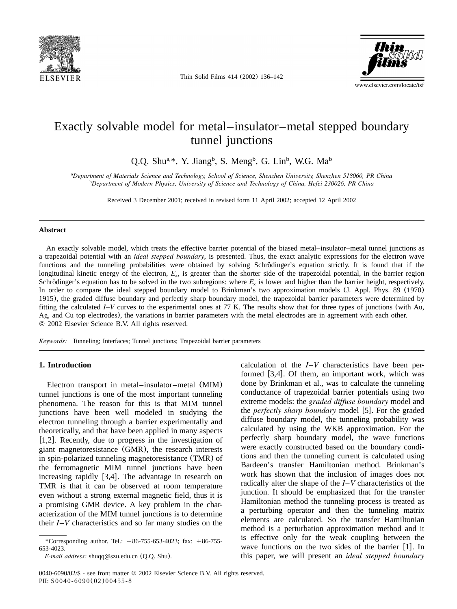

Thin Solid Films 414 (2002) 136–142



# Exactly solvable model for metal–insulator–metal stepped boundary tunnel junctions

Q.Q. Shu<sup>a,\*</sup>, Y. Jiang<sup>b</sup>, S. Meng<sup>b</sup>, G. Lin<sup>b</sup>, W.G. Ma<sup>b</sup>

*Department of Materials Science and Technology, School of Science, Shenzhen University, Shenzhen 518060, PR China* <sup>a</sup> *Department of Modern Physics, University of Science and Technology of China, Hefei 230026, PR China* <sup>b</sup>

Received 3 December 2001; received in revised form 11 April 2002; accepted 12 April 2002

#### **Abstract**

An exactly solvable model, which treats the effective barrier potential of the biased metal–insulator–metal tunnel junctions as a trapezoidal potential with an *ideal stepped boundary*, is presented.Thus, the exact analytic expressions for the electron wave functions and the tunneling probabilities were obtained by solving Schrödinger's equation strictly. It is found that if the longitudinal kinetic energy of the electron,  $E_x$ , is greater than the shorter side of the trapezoidal potential, in the barrier region Schrödinger's equation has to be solved in the two subregions: where  $E_x$  is lower and higher than the barrier height, respectively. In order to compare the ideal stepped boundary model to Brinkman's two approximation models (J. Appl. Phys. 89 (1970) 1915), the graded diffuse boundary and perfectly sharp boundary model, the trapezoidal barrier parameters were determined by fitting the calculated  $I-V$  curves to the experimental ones at 77 K. The results show that for three types of junctions (with Au, Ag, and Cu top electrodes), the variations in barrier parameters with the metal electrodes are in agreement with each other. 2002 Elsevier Science B.V. All rights reserved.

*Keywords:* Tunneling; Interfaces; Tunnel junctions; Trapezoidal barrier parameters

# **1. Introduction**

Electron transport in metal–insulator–metal (MIM) tunnel junctions is one of the most important tunneling phenomena.The reason for this is that MIM tunnel junctions have been well modeled in studying the electron tunneling through a barrier experimentally and theoretically, and that have been applied in many aspects [[1,2](#page-6-0)]. Recently, due to progress in the investigation of giant magnetoresistance (GMR), the research interests in spin-polarized tunneling magnetoresistance (TMR) of the ferromagnetic MIM tunnel junctions have been increasing rapidly  $[3,4]$  $[3,4]$  $[3,4]$ . The advantage in research on TMR is that it can be observed at room temperature even without a strong external magnetic field, thus it is a promising GMR device.A key problem in the characterization of the MIM tunnel junctions is to determine their *I*–*V* characteristics and so far many studies on the

calculation of the *I*–*V* characteristics have been performed  $[3,4]$  $[3,4]$  $[3,4]$ . Of them, an important work, which was done by Brinkman et al., was to calculate the tunneling conductance of trapezoidal barrier potentials using two extreme models: the *graded diffuse boundary* model and the *perfectly sharp boundary* model [[5](#page-6-0)]. For the graded diffuse boundary model, the tunneling probability was calculated by using the WKB approximation.For the perfectly sharp boundary model, the wave functions were exactly constructed based on the boundary conditions and then the tunneling current is calculated using Bardeen's transfer Hamiltonian method. Brinkman's work has shown that the inclusion of images does not radically alter the shape of the *I*–*V* characteristics of the junction.It should be emphasized that for the transfer Hamiltonian method the tunneling process is treated as a perturbing operator and then the tunneling matrix elements are calculated. So the transfer Hamiltonian method is a perturbation approximation method and it is effective only for the weak coupling between the wave functions on the two sides of the barrier  $[1]$  $[1]$  $[1]$ . In this paper, we will present an *ideal stepped boundary*

<sup>\*</sup>Corresponding author. Tel.:  $+86-755-653-4023$ ; fax:  $+86-755-$ 653-4023.

*E-mail address:* shuqq@szu.edu.cn (Q.Q. Shu).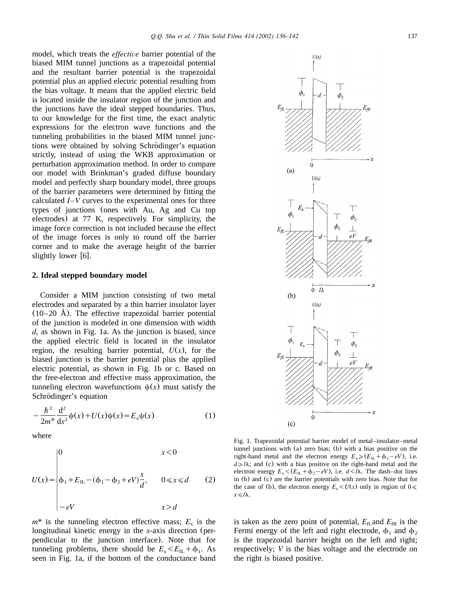<span id="page-1-0"></span>model, which treats the *effective* barrier potential of the biased MIM tunnel junctions as a trapezoidal potential and the resultant barrier potential is the trapezoidal potential plus an applied electric potential resulting from the bias voltage.It means that the applied electric field is located inside the insulator region of the junction and the junctions have the ideal stepped boundaries.Thus, to our knowledge for the first time, the exact analytic expressions for the electron wave functions and the tunneling probabilities in the biased MIM tunnel junctions were obtained by solving Schrödinger's equation strictly, instead of using the WKB approximation or perturbation approximation method.In order to compare our model with Brinkman's graded diffuse boundary model and perfectly sharp boundary model, three groups of the barrier parameters were determined by fitting the calculated *I*–*V* curves to the experimental ones for three types of junctions (ones with Au, Ag and Cu top electrodes) at 77 K, respectively. For simplicity, the image force correction is not included because the effect of the image forces is only to round off the barrier corner and to make the average height of the barrier slightly lower  $[6]$  $[6]$  $[6]$ .

#### **2. Ideal stepped boundary model**

Consider a MIM junction consisting of two metal electrodes and separated by a thin barrier insulator layer  $(10–20 \text{ Å})$ . The effective trapezoidal barrier potential of the junction is modeled in one dimension with width *d*, as shown in Fig.1a.As the junction is biased, since the applied electric field is located in the insulator region, the resulting barrier potential,  $U(x)$ , for the biased junction is the barrier potential plus the applied electric potential, as shown in Fig.1b or c.Based on the free-electron and effective mass approximation, the tunneling electron wavefunctions  $\psi(x)$  must satisfy the Schrödinger's equation

$$
-\frac{\hbar^2}{2m^*}\frac{d^2}{dx^2}\psi(x) + U(x)\psi(x) = E_x\psi(x)
$$
 (1)

where

$$
U(x) = \begin{cases} 0 & x < 0 \\ \phi_1 + E_{fL} - (\phi_1 - \phi_2 + eV)\frac{x}{d}, & 0 \le x \le d \\ -eV & x > d \end{cases}
$$
 (2)

 $m^*$  is the tunneling electron effective mass;  $E_x$  is the longitudinal kinetic energy in the *x*-axis direction (perpendicular to the junction interface). Note that for tunneling problems, there should be  $E_x \le E_{fL} + \phi_1$ . As seen in Fig.1a, if the bottom of the conductance band



Fig.1.Trapezoidal potential barrier model of metal–insulator–metal tunnel junctions with (a) zero bias; (b) with a bias positive on the right-hand metal and the electron energy  $E_x \ge (E_f + \phi_2 - eV)$ , i.e.  $d \ge l\lambda$ ; and (c) with a bias positive on the right-hand metal and the electron energy  $E_x < (E_{fL} + \phi_2 - eV)$ , *i.e.*  $d < l\lambda$ . The dash–dot lines in  $(b)$  and  $(c)$  are the barrier potentials with zero bias. Note that for the case of (b), the electron energy  $E_x \le U(x)$  only in region of  $0 \le$  $x \le l\lambda$ .

is taken as the zero point of potential,  $E_{f\text{L}}$  and  $E_{f\text{R}}$  is the Fermi energy of the left and right electrode,  $\phi_1$  and  $\phi_2$ is the trapezoidal barrier height on the left and right; respectively; *V* is the bias voltage and the electrode on the right is biased positive.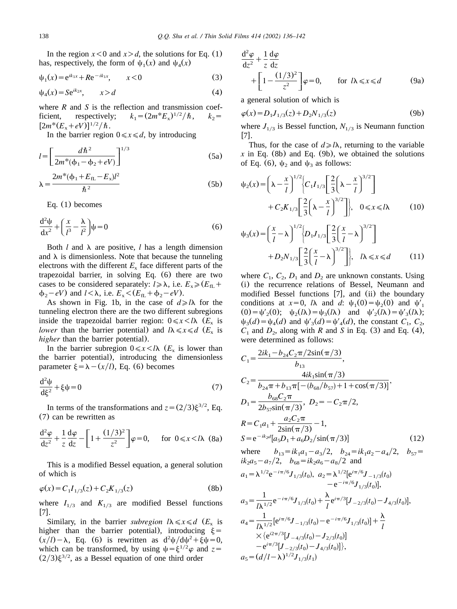<span id="page-2-0"></span>In the region  $x < 0$  and  $x > d$ , the solutions for [Eq.](#page-1-0) (1) has, respectively, the form of  $\psi_1(x)$  and  $\psi_4(x)$ 

$$
\psi_1(x) = e^{ik_{1x}} + Re^{-ik_{1x}}, \qquad x < 0 \tag{3}
$$

$$
\psi_4(x) = S e^{ik_{2x}}, \qquad x > d \tag{4}
$$

where *R* and *S* is the reflection and transmission coefficient, respectively;  $k_1 = (2m^*E_x)^{1/2}/\hbar$ ,  $k_2 =$  $[2m^*(E_x+eV)]^{1/2}/\hbar$ .

In the barrier region  $0 \le x \le d$ , by introducing

$$
l = \left[\frac{d\hbar^2}{2m^*(\phi_1 - \phi_2 + eV)}\right]^{1/3}
$$
 (5a)

$$
\lambda = \frac{2m^*(\phi_1 + E_{\text{fL}} - E_x)l^2}{\hbar^2}
$$
 (5b)

[Eq.](#page-1-0) (1) becomes

$$
\frac{d^2\psi}{dx^2} + \left(\frac{x}{l^3} - \frac{\lambda}{l^2}\right)\psi = 0\tag{6}
$$

Both  $l$  and  $\lambda$  are positive,  $l$  has a length dimension and  $\lambda$  is dimensionless. Note that because the tunneling electrons with the different  $E<sub>x</sub>$  face different parts of the trapezoidal barrier, in solving Eq. (6) there are two cases to be considered separately:  $l \ge \lambda$ , i.e.  $E_x \ge (E_f + E_f)$  $\phi_2-eV$ ) and  $l<\lambda$ , i.e.  $E_x\leq (E_{fL}+\phi_2-eV)$ .

As shown in Fig. 1b, in the case of  $d \ge l\lambda$  for the tunneling electron there are the two different subregions inside the trapezoidal barrier region:  $0 \le x \le l\lambda$  ( $E_x$  is *lower* than the barrier potential) and  $l\lambda \le x \le d$  ( $E_x$  is *higher* than the barrier potential).

In the barrier subregion  $0 \le x \le l\lambda$  ( $E_x$  is lower than the barrier potential), introducing the dimensionless parameter  $\xi = \lambda - (x/l)$ , Eq. (6) becomes

$$
\frac{\mathrm{d}^2 \psi}{\mathrm{d}\xi^2} + \xi \psi = 0\tag{7}
$$

In terms of the transformations and  $z = (2/3)\xi^{3/2}$ , Eq. (7) can be rewritten as

$$
\frac{d^2\varphi}{dz^2} + \frac{1}{z}\frac{d\varphi}{dz} - \left[1 + \frac{(1/3)^2}{z^2}\right]\varphi = 0, \quad \text{for } 0 \le x < l\lambda \tag{8a}
$$

This is a modified Bessel equation, a general solution of which is

$$
\varphi(x) = C_1 I_{1/3}(z) + C_2 K_{1/3}(z) \tag{8b}
$$

where  $I_{1/3}$  and  $K_{1/3}$  are modified Bessel functions 1[7](#page-6-0)L

Similary, in the barrier *subregion*  $l\lambda \le x \le d$  ( $E_x$  is higher than the barrier potential), introducing  $\xi =$  $(x/l) - \lambda$ , Eq. (6) is rewritten as  $d^2\psi/d\psi^2 + \xi\psi = 0$ , which can be transformed, by using  $\psi = \xi^{1/2} \varphi$  and  $z =$  $(2/3)\xi^{3/2}$ , as a Bessel equation of one third order

$$
\frac{d^2 \varphi}{dz^2} + \frac{1}{z} \frac{d\varphi}{dz} + \left[1 - \frac{(1/3)^2}{z^2}\right] \varphi = 0, \quad \text{for } l\lambda \leq x \leq d \quad (9a)
$$

a general solution of which is

$$
\varphi(x) = D_1 J_{1/3}(z) + D_2 N_{1/3}(z) \tag{9b}
$$

where  $J_{1/3}$  is Bessel function,  $N_{1/3}$  is Neumann function  $[7]$  $[7]$  $[7]$ .

Thus, for the case of  $d \ge l\lambda$ , returning to the variable  $\bar{x}$  in Eq. (8b) and Eq. (9b), we obtained the solutions of Eq. (6),  $\psi_2$  and  $\psi_3$  as follows:

$$
\psi_2(x) = \left(\lambda - \frac{x}{l}\right)^{1/2} \left\{ C_1 I_{1/3} \left[ \frac{2}{3} \left(\lambda - \frac{x}{l}\right)^{3/2} \right] + C_2 K_{1/3} \left[ \frac{2}{3} \left(\lambda - \frac{x}{l}\right)^{3/2} \right] \right\}, \quad 0 \le x \le l\lambda
$$
 (10)

$$
\psi_3(x) = \left(\frac{x}{l} - \lambda\right)^{1/2} \left\{ D_1 J_{1/3} \left[ \frac{2}{3} \left(\frac{x}{l} - \lambda\right)^{3/2} \right] + D_2 N_{1/3} \left[ \frac{2}{3} \left(\frac{x}{l} - \lambda\right)^{3/2} \right] \right\}, \quad l\lambda \le x \le d \tag{11}
$$

where  $C_1$ ,  $C_2$ ,  $D_1$  and  $D_2$  are unknown constants. Using (i) the recurrence relations of Bessel, Neumann and modified Bessel functions  $[7]$  $[7]$  $[7]$ , and (ii) the boundary conditions at  $x=0$ ,  $l\lambda$  and  $d$ :  $\psi_1(0) = \psi_2(0)$  and  $\psi'_1$  $(0) = \psi'_2(0); \quad \psi_2(l\lambda) = \psi_3(l\lambda) \quad \text{and} \quad \psi'_2(l\lambda) = \psi'_3(l\lambda);$  $\psi_3(d) = \psi_4(d)$  and  $\psi'_3(d) = \psi'_4(d)$ , the constant  $C_1$ ,  $C_2$ ,  $C_1$  and  $D_2$ , along with *R* and *S* in Eq. (3) and Eq. (4), were determined as follows:

$$
C_{1} = \frac{2ik_{1} - b_{24}C_{2}\pi/2\sin(\pi/3)}{b_{13}},
$$
  
\n
$$
C_{2} = \frac{4ik_{1}\sin(\pi/3)}{b_{24}\pi + b_{13}\pi[-(b_{68}/b_{57}) + 1 + \cos(\pi/3)]},
$$
  
\n
$$
D_{1} = \frac{b_{68}C_{2}\pi}{2b_{57}\sin(\pi/3)}, D_{2} = -C_{2}\pi/2,
$$
  
\n
$$
R = C_{1}a_{1} + \frac{a_{2}C_{2}\pi}{2\sin(\pi/3)} - 1,
$$
  
\n
$$
S = e^{-ik_{2}d}[a_{5}D_{1} + a_{6}D_{2}/\sin(\pi/3)]
$$
  
\nwhere  $b_{13} = ik_{1}a_{1} - a_{3}/2, b_{24} = ik_{1}a_{2} - a_{4}/2, b_{57} = ik_{2}a_{5} - a_{7}/2, b_{68} = ik_{2}a_{6} - a_{8}/2$  and

$$
a_1 = \lambda^{1/2} e^{-i\pi/6} J_{1/3}(t_0), \ a_2 = \lambda^{1/2} [e^{i\pi/6} J_{-1/3}(t_0)
$$
  
\n
$$
- e^{-i\pi/6} J_{1/3}(t_0)],
$$
  
\n
$$
a_3 = \frac{1}{l\lambda^{1/2}} e^{-i\pi/6} J_{1/3}(t_0) + \frac{\lambda}{l} e^{i\pi/3} [J_{-2/3}(t_0) - J_{4/3}(t_0)],
$$
  
\n
$$
a_4 = \frac{1}{l\lambda^{1/2}} [e^{i\pi/6} J_{-1/3}(t_0) - e^{-i\pi/6} J_{1/3}(t_0)] + \frac{\lambda}{l}
$$
  
\n
$$
\times \{e^{i2\pi/3} [J_{-4/3}(t_0) - J_{2/3}(t_0)]
$$
  
\n
$$
- e^{i\pi/3} [J_{-2/3}(t_0) - J_{4/3}(t_0)] \},
$$
  
\n
$$
a_5 = (d/l - \lambda)^{1/2} J_{1/3}(t_1)
$$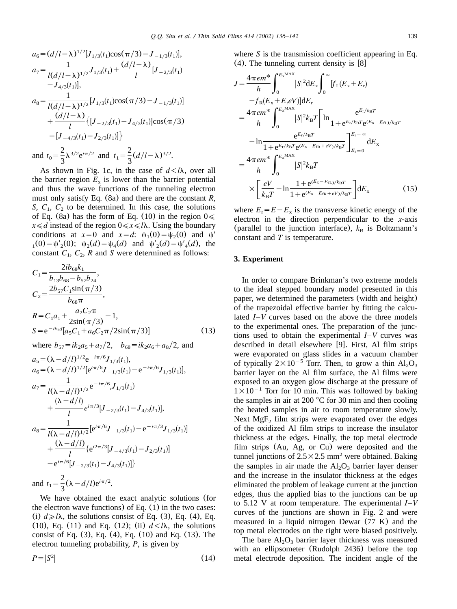<span id="page-3-0"></span>
$$
a_6 = (d/l - \lambda)^{1/2} [J_{1/3}(t_1)\cos(\pi/3) - J_{-1/3}(t_1)],
$$
  
\n
$$
a_7 = \frac{1}{l(d/l - \lambda)^{1/2}} J_{1/3}(t_1) + \frac{(d/l - \lambda)}{l} [J_{-2/3}(t_1) - J_{4/3}(t_1)],
$$
  
\n
$$
a_8 = \frac{1}{l(d/l - \lambda)^{1/2}} [J_{1/3}(t_1)\cos(\pi/3) - J_{-1/3}(t_1)] + \frac{(d/l - \lambda)}{l} \{ [J_{-2/3}(t_1) - J_{4/3}(t_1)]\cos(\pi/3) - [J_{-4/3}(t_1) - J_{2/3}(t_1)] \}
$$
  
\nand  $t_0 = \frac{2}{3} \lambda^{3/2} e^{i\pi/2}$  and  $t_1 = \frac{2}{3} (d/l - \lambda)^{3/2}$ .

As shown in Fig. 1c, in the case of  $d < l\lambda$ , over all the barrier region  $E_x$  is lower than the barrier potential and thus the wave functions of the tunneling electron must only satisfy [Eq.](#page-2-0) (8a) and there are the constant *R*, *S*,  $C_1$ ,  $C_2$  to be determined. In this case, the solutions of [Eq.](#page-2-0) (8a) has the form of Eq. (10) in the region  $0 \le$  $x \le d$  instead of the region  $0 \le x \le l\lambda$ . Using the boundary conditions at  $x=0$  and  $x=d$ :  $\psi_1(0)=\psi_2(0)$  and  $\psi'$  $_1(0) = \psi'_2(0); \psi_2(d) = \psi_4(d)$  and  $\psi'_2(d) = \psi'_4(d)$ , the constant  $C_1$ ,  $C_2$ ,  $R$  and  $S$  were determined as follows:

$$
C_1 = \frac{2ib_{68}k_1}{b_{13}b_{68} - b_{57}b_{24}},
$$
  
\n
$$
C_2 = \frac{2b_{57}C_1\sin(\pi/3)}{b_{68}\pi},
$$
  
\n
$$
R = C_1a_1 + \frac{a_2C_2\pi}{2\sin(\pi/3)} - 1,
$$
  
\n
$$
S = e^{-ik_2d}[a_5C_1 + a_6C_2\pi/2\sin(\pi/3)]
$$
\n(13)

where 
$$
b_{57} = ik_2 a_5 + a_7/2
$$
,  $b_{68} = ik_2 a_6 + a_8/2$ , and

$$
a_5 = (\lambda - d/l)^{1/2} e^{-i\pi/6} J_{1/3}(t_1),
$$
  
\n
$$
a_6 = (\lambda - d/l)^{1/2} [e^{i\pi/6} J_{-1/3}(t_1) - e^{-i\pi/6} J_{1/3}(t_1)]
$$
,  
\n
$$
a_7 = \frac{1}{l(\lambda - d/l)^{1/2}} e^{-i\pi/6} J_{1/3}(t_1)
$$
  
\n
$$
+ \frac{(\lambda - d/l)}{l} e^{i\pi/3} [J_{-2/3}(t_1) - J_{4/3}(t_1)]
$$
,  
\n
$$
a_8 = \frac{1}{l(\lambda - d/l)^{1/2}} [e^{i\pi/6} J_{-1/3}(t_1) - e^{-i\pi/3} J_{1/3}(t_1)]
$$
  
\n
$$
+ \frac{(\lambda - d/l)}{l} \{e^{i2\pi/3} [J_{-4/3}(t_1) - J_{2/3}(t_1)]
$$
  
\n
$$
- e^{i\pi/6} [J_{-2/3}(t_1) - J_{4/3}(t_1)]\}
$$
  
\nand  $t_1 = \frac{2}{3} (\lambda - d/l) e^{i\pi/2}$ .

We have obtained the exact analytic solutions (for the electron wave functions) of [Eq.](#page-1-0)  $(1)$  in the two c[ases:](#page-2-0) [\(](#page-2-0)i)  $d \ge l\lambda$ , the solutions consist of [Eq.](#page-2-0) (3), Eq. (4), Eq. ([10](#page-2-0)), [Eq.](#page-2-0) (11) and Eq. (12); (ii)  $d \lt l\lambda$ , the solutions consist of [Eq.](#page-2-0) (3), [Eq.](#page-2-0) (4), [Eq.](#page-2-0) (10) and Eq. (13).The electron tunneling probability, *P*, is given by

$$
P = |S^2| \tag{14}
$$

where *S* is the transmission coefficient appearing in [Eq.](#page-2-0)  $(4)$  $(4)$  $(4)$ . The tunneling current density is [[8](#page-6-0)]

$$
J = \frac{4\pi e m^*}{h} \int_0^{E_x MAX} |S|^2 dE_x \int_0^{\infty} [f_L(E_x + E_r)]
$$
  
\n
$$
-f_R(E_x + E_r eV)] dE_r
$$
  
\n
$$
= \frac{4\pi e m^*}{h} \int_0^{E_x MAX} |S|^2 k_B T \left[ \ln \frac{e^{E_r/k_B T}}{1 + e^{E_r/k_B T} e^{(E_x - E_{\text{TL}})/k_B T}} -\ln \frac{e^{E_r/k_B T}}{1 + e^{E_r/k_B T} e^{(E_x - E_{\text{TR}} + eV)/k_B T}} \right]_{E_r = 0}^{E_r = \infty} dE_x
$$
  
\n
$$
= \frac{4\pi e m^*}{h} \int_0^{E_x MAX} |S|^2 k_B T
$$
  
\n
$$
\times \left[ \frac{eV}{k_B T} - \ln \frac{1 + e^{(E_x - E_{\text{TL}})/k_B T}}{1 + e^{(E_x - E_{\text{TR}} + eV)/k_B T}} \right] dE_x
$$
(15)

where  $E_r = E - E_x$  is the transverse kinetic energy of the electron in the direction perpendicular to the *x*-axis (parallel to the junction interface),  $k_B$  is Boltzmann's constant and *T* is temperature.

#### **3. Experiment**

In order to compare Brinkman's two extreme models to the ideal stepped boundary model presented in this paper, we determined the parameters (width and height) of the trapezoidal effective barrier by fitting the calculated *I*–*V* curves based on the above the three models to the experimental ones.The preparation of the junctions used to obtain the experimental *I*–*V* curves was described in detail elsewhere  $[9]$  $[9]$  $[9]$ . First, Al film strips were evaporated on glass slides in a vacuum chamber of typically  $2\times 10^{-5}$  Torr. Then, to grow a thin Al<sub>2</sub>O<sub>3</sub> barrier layer on the Al film surface, the Al films were exposed to an oxygen glow discharge at the pressure of  $1\times10^{-1}$  Torr for 10 min. This was followed by baking the samples in air at 200  $^{\circ}$ C for 30 min and then cooling the heated samples in air to room temperature slowly. Next  $MgF<sub>2</sub>$  film strips were evaporated over the edges of the oxidized Al film strips to increase the insulator thickness at the edges.Finally, the top metal electrode film strips (Au, Ag, or Cu) were deposited and the tunnel junctions of  $2.5\times2.5$  mm<sup>2</sup> were obtained. Baking the samples in air made the  $Al_2O_3$  barrier layer denser and the increase in the insulator thickness at the edges eliminated the problem of leakage current at the junction edges, thus the applied bias to the junctions can be up to 5.12 V at room temperature. The experimental *I*–*V* curves of the junctions are shown in [Fig.2](#page-4-0) and were measured in a liquid nitrogen Dewar (77 K) and the top metal electrodes on the right were biased positively.

The bare  $Al_2O_3$  barrier layer thickness was measured with an ellipsometer (Rudolph 2436) before the top metal electrode deposition.The incident angle of the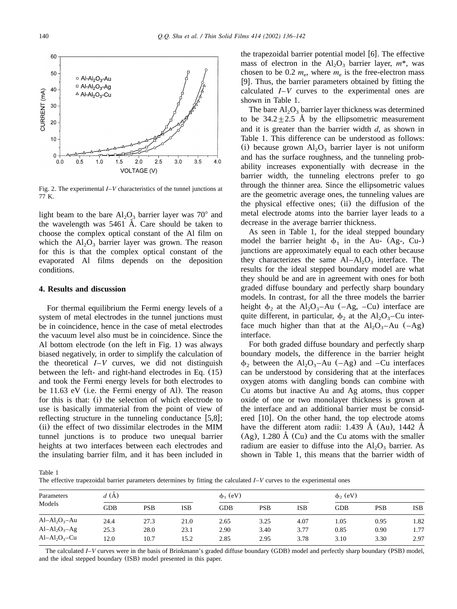<span id="page-4-0"></span>

Fig.2.The experimental *I*–*V* characteristics of the tunnel junctions at 77 K.

light beam to the bare  $Al_2O_3$  barrier layer was 70 $^{\circ}$  and the wavelength was  $5461$  Å. Care should be taken to choose the complex optical constant of the Al film on which the  $Al_2O_3$  barrier layer was grown. The reason for this is that the complex optical constant of the evaporated Al films depends on the deposition conditions.

### **4. Results and discussion**

For thermal equilibrium the Fermi energy levels of a system of metal electrodes in the tunnel junctions must be in coincidence, hence in the case of metal electrodes the vacuum level also must be in coincidence.Since the Al bottom electrode (on the left in [Fig.1](#page-1-0)) was always biased negatively, in order to simplify the calculation of the theoretical *I*–*V* curves, we did not distinguish between the left- and right-hand electrodes in [Eq.](#page-3-0) (15) and took the Fermi energy levels for both electrodes to be 11.63 eV (i.e. the Fermi energy of Al). The reason for this is that: (i) the selection of which electrode to use is basically immaterial from the point of view of reflecting structure in the tunneling conductance  $[5,8]$  $[5,8]$  $[5,8]$ ; (ii) the effect of two dissimilar electrodes in the MIM tunnel junctions is to produce two unequal barrier heights at two interfaces between each electrodes and the insulating barrier film, and it has been included in the trapezoidal barrier potential model  $[6]$  $[6]$  $[6]$ . The effective mass of electron in the  $Al_2O_3$  barrier layer,  $m^*$ , was chosen to be 0.2  $m_e$ , where  $m_e$  is the free-electron mass [[9](#page-6-0)]. Thus, the barrier parameters obtained by fitting the calculated *I*–*V* curves to the experimental ones are shown in Table 1.

The bare  $Al_2O_3$  barrier layer thickness was determined to be  $34.2 \pm 2.5$  Å by the ellipsometric measurement and it is greater than the barrier width *d*, as shown in Table 1.This difference can be understood as follows: (i) because grown  $Al_2O_3$  barrier layer is not uniform and has the surface roughness, and the tunneling probability increases exponentially with decrease in the barrier width, the tunneling electrons prefer to go through the thinner area. Since the ellipsometric values are the geometric average ones, the tunneling values are the physical effective ones; (ii) the diffusion of the metal electrode atoms into the barrier layer leads to a decrease in the average barrier thickness.

As seen in Table 1, for the ideal stepped boundary model the barrier height  $\phi_1$  in the Au- (Ag-, Cu-) junctions are approximately equal to each other because they characterizes the same  $Al-Al<sub>2</sub>O<sub>3</sub>$  interface. The results for the ideal stepped boundary model are what they should be and are in agreement with ones for both graded diffuse boundary and perfectly sharp boundary models.In contrast, for all the three models the barrier height  $\phi_2$  at the Al<sub>2</sub>O<sub>3</sub>–Au (–Ag, –Cu) interface are quite different, in particular,  $\phi_2$  at the Al<sub>2</sub>O<sub>3</sub>–Cu interface much higher than that at the  $Al_2O_3 - Au$  (–Ag) interface.

For both graded diffuse boundary and perfectly sharp boundary models, the difference in the barrier height  $\phi_2$  between the Al<sub>2</sub>O<sub>3</sub>-Au (–Ag) and –Cu interfaces can be understood by considering that at the interfaces oxygen atoms with dangling bonds can combine with Cu atoms but inactive Au and Ag atoms, thus copper oxide of one or two monolayer thickness is grown at the interface and an additional barrier must be considered  $[10]$  $[10]$  $[10]$ . On the other hand, the top electrode atoms have the different atom radii: 1.439 Å (Au), 1442 Å  $(Ag)$ , 1.280 Å  $(Cu)$  and the Cu atoms with the smaller radium are easier to diffuse into the  $Al_2O_3$  barrier. As shown in Table 1, this means that the barrier width of

Table 1

The effective trapezoidal barrier parameters determines by fitting the calculated *I*–*V* curves to the experimental ones

| Parameters<br>Models | d(A)       |      |      | $\phi_1$ (eV) |            |            | $\phi$ <sub>2</sub> (eV) |      |      |
|----------------------|------------|------|------|---------------|------------|------------|--------------------------|------|------|
|                      | <b>GDB</b> | PSB  | ISB  | <b>GDB</b>    | <b>PSB</b> | <b>ISB</b> | <b>GDB</b>               | PSB  | ISB  |
| $Al-Al2O3 - Au$      | 24.4       | 27.3 | 21.0 | 2.65          | 3.25       | 4.07       | 1.05                     | 0.95 | 1.82 |
| $Al-Al2O3-Ag$        | 25.3       | 28.0 | 23.1 | 2.90          | 3.40       | 3.77       | 0.85                     | 0.90 | 1.77 |
| $Al-Al2O3-Cu$        | 12.0       | 10.7 | 15.2 | 2.85          | 2.95       | 3.78       | 3.10                     | 3.30 | 2.97 |

The calculated *I*–*V* curves were in the basis of Brinkmann's graded diffuse boundary (GDB) model and perfectly sharp boundary (PSB) model, and the ideal stepped boundary (ISB) model presented in this paper.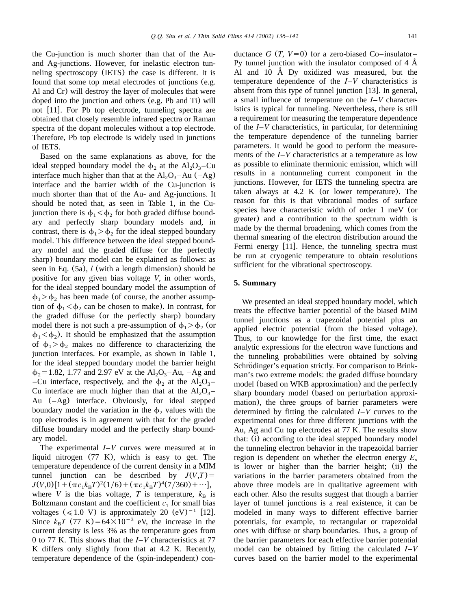and Ag-junctions. However, for inelastic electron tunneling spectroscopy (IETS) the case is different. It is found that some top metal electrodes of junctions (e.g. Al and Cr) will destroy the layer of molecules that were doped into the junction and others (e.g. Pb and Ti) will not [[11](#page-6-0)]. For Pb top electrode, tunneling spectra are obtained that closely resemble infrared spectra or Raman spectra of the dopant molecules without a top electrode. Therefore, Pb top electrode is widely used in junctions of IETS.

Based on the same explanations as above, for the ideal stepped boundary model the  $\phi_2$  at the Al<sub>2</sub>O<sub>3</sub>-Cu interface much higher than that at the  $Al_2O_3 - Au$  ( $-Ag$ ) interface and the barrier width of the Cu-junction is much shorter than that of the Au- and Ag-junctions. It should be noted that, as seen in [Table 1,](#page-4-0) in the Cujunction there is  $\phi_1 < \phi_2$  for both graded diffuse boundary and perfectly sharp boundary models and, in contrast, there is  $\phi_1 > \phi_2$  for the ideal stepped boundary model.This difference between the ideal stepped boundary model and the graded diffuse (or the perfectly sharp) boundary model can be explained as follows: as seen in [Eq.](#page-2-0) (5a), *l* (with a length dimension) should be positive for any given bias voltage *V*, in other words, for the ideal stepped boundary model the assumption of  $\phi_1$   $>$   $\phi_2$  has been made (of course, the another assumption of  $\phi_1 < \phi_2$  can be chosen to make). In contrast, for the graded diffuse (or the perfectly sharp) boundary model there is not such a pre-assumption of  $\phi_1 > \phi_2$  (or  $\phi_1 < \phi_2$ ). It should be emphasized that the assumption of  $\phi_1 > \phi_2$  makes no difference to characterizing the junction interfaces. For example, as shown in [Table 1,](#page-4-0) for the ideal stepped boundary model the barrier height  $\phi_2 = 1.82$ , 1.77 and 2.97 eV at the Al<sub>2</sub>O<sub>3</sub>-Au, -Ag and –Cu interface, respectively, and the  $\phi_2$  at the Al<sub>2</sub>O<sub>3</sub>– Cu interface are much higher than that at the  $Al_2O_3$ -Au (–Ag) interface.Obviously, for ideal stepped boundary model the variation in the  $\phi_2$  values with the top electrodes is in agreement with that for the graded diffuse boundary model and the perfectly sharp boundary model.

The experimental *I*–*V* curves were measured at in liquid nitrogen  $(77 \text{ K})$ , which is easy to get. The temperature dependence of the current density in a MIM tunnel junction can be described by  $J(V,T)$  =  $J(V,0)[1+(\pi c_1k_BT)^2(1/6)+(\pi c_1k_BT)^4(7/360)+\cdots],$ where *V* is the bias voltage, *T* is temperature,  $k_B$  is Boltzmann constant and the coefficient  $c_1$  for small bias voltages ( $\leq 1.0$  V) is approximately 20 (eV)<sup>-1</sup> [[12](#page-6-0)]. Since  $k_B T$  (77 K) = 64 $\times$ 10<sup>-3</sup> eV, the increase in the current density is less 3% as the temperature goes from 0 to 77 K.This shows that the *I*–*V* characteristics at 77 K differs only slightly from that at 4.2 K. Recently, temperature dependence of the (spin-independent) conductance *G* (*T*,  $V=0$ ) for a zero-biased Co–insulator– Py tunnel junction with the insulator composed of  $4 \text{ Å}$ Al and 10  $\AA$  Dy oxidized was measured, but the temperature dependence of the *I*–*V* characteristics is absent from this type of tunnel junction  $[13]$  $[13]$  $[13]$ . In general, a small influence of temperature on the *I*–*V* characteristics is typical for tunneling. Nevertheless, there is still a requirement for measuring the temperature dependence of the *I*–*V* characteristics, in particular, for determining the temperature dependence of the tunneling barrier parameters.It would be good to perform the measurements of the *I*–*V* characteristics at a temperature as low as possible to eliminate thermionic emission, which will results in a nontunneling current component in the junctions.However, for IETS the tunneling spectra are taken always at  $4.2$  K (or lower temperature). The reason for this is that vibrational modes of surface species have characteristic width of order 1 meV (or greater) and a contribution to the spectrum width is made by the thermal broadening, which comes from the thermal smearing of the electron distribution around the Fermi energy  $[11]$  $[11]$  $[11]$ . Hence, the tunneling spectra must be run at cryogenic temperature to obtain resolutions sufficient for the vibrational spectroscopy.

## **5. Summary**

We presented an ideal stepped boundary model, which treats the effective barrier potential of the biased MIM tunnel junctions as a trapezoidal potential plus an applied electric potential (from the biased voltage). Thus, to our knowledge for the first time, the exact analytic expressions for the electron wave functions and the tunneling probabilities were obtained by solving Schrödinger's equation strictly. For comparison to Brinkman's two extreme models: the graded diffuse boundary model (based on WKB approximation) and the perfectly sharp boundary model (based on perturbation approximation), the three groups of barrier parameters were determined by fitting the calculated *I*–*V* curves to the experimental ones for three different junctions with the Au, Ag and Cu top electrodes at 77 K.The results show that: (i) according to the ideal stepped boundary model the tunneling electron behavior in the trapezoidal barrier region is dependent on whether the electron energy  $E_x$ is lower or higher than the barrier height; (ii) the variations in the barrier parameters obtained from the above three models are in qualitative agreement with each other. Also the results suggest that though a barrier layer of tunnel junctions is a real existence, it can be modeled in many ways to different effective barrier potentials, for example, to rectangular or trapezoidal ones with diffuse or sharp boundaries.Thus, a group of the barrier parameters for each effective barrier potential model can be obtained by fitting the calculated *I*–*V* curves based on the barrier model to the experimental